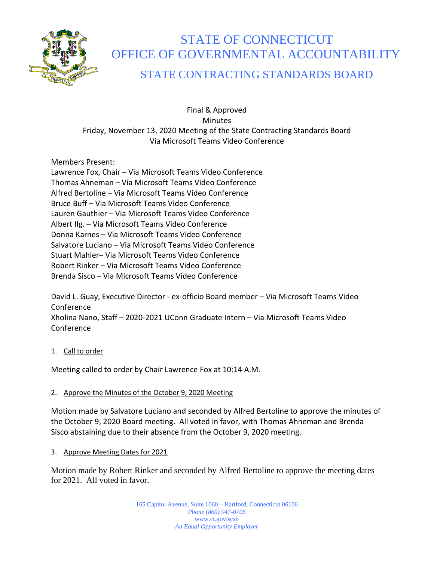

## STATE OF CONNECTICUT OFFICE OF GOVERNMENTAL ACCOUNTABILITY

## STATE CONTRACTING STANDARDS BOARD

Final & Approved **Minutes** Friday, November 13, 2020 Meeting of the State Contracting Standards Board Via Microsoft Teams Video Conference

#### Members Present:

Lawrence Fox, Chair – Via Microsoft Teams Video Conference Thomas Ahneman – Via Microsoft Teams Video Conference Alfred Bertoline – Via Microsoft Teams Video Conference Bruce Buff – Via Microsoft Teams Video Conference Lauren Gauthier – Via Microsoft Teams Video Conference Albert Ilg. – Via Microsoft Teams Video Conference Donna Karnes – Via Microsoft Teams Video Conference Salvatore Luciano – Via Microsoft Teams Video Conference Stuart Mahler– Via Microsoft Teams Video Conference Robert Rinker – Via Microsoft Teams Video Conference Brenda Sisco – Via Microsoft Teams Video Conference

David L. Guay, Executive Director - ex-officio Board member – Via Microsoft Teams Video Conference Xholina Nano, Staff – 2020-2021 UConn Graduate Intern – Via Microsoft Teams Video Conference

#### 1. Call to order

Meeting called to order by Chair Lawrence Fox at 10:14 A.M.

#### 2. Approve the Minutes of the October 9, 2020 Meeting

Motion made by Salvatore Luciano and seconded by Alfred Bertoline to approve the minutes of the October 9, 2020 Board meeting. All voted in favor, with Thomas Ahneman and Brenda Sisco abstaining due to their absence from the October 9, 2020 meeting.

#### 3. Approve Meeting Dates for 2021

Motion made by Robert Rinker and seconded by Alfred Bertoline to approve the meeting dates for 2021. All voted in favor.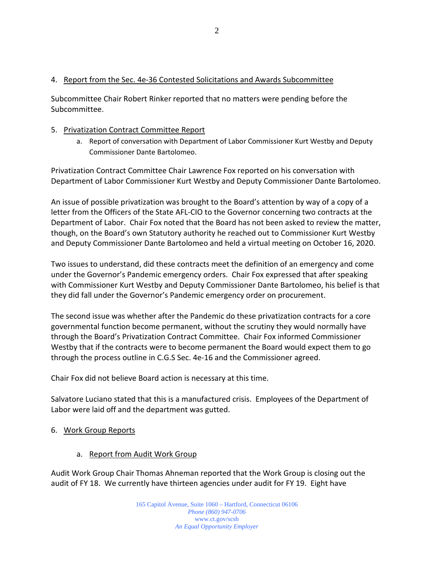#### 4. Report from the Sec. 4e-36 Contested Solicitations and Awards Subcommittee

Subcommittee Chair Robert Rinker reported that no matters were pending before the Subcommittee.

#### 5. Privatization Contract Committee Report

a. Report of conversation with Department of Labor Commissioner Kurt Westby and Deputy Commissioner Dante Bartolomeo.

Privatization Contract Committee Chair Lawrence Fox reported on his conversation with Department of Labor Commissioner Kurt Westby and Deputy Commissioner Dante Bartolomeo.

An issue of possible privatization was brought to the Board's attention by way of a copy of a letter from the Officers of the State AFL-CIO to the Governor concerning two contracts at the Department of Labor. Chair Fox noted that the Board has not been asked to review the matter, though, on the Board's own Statutory authority he reached out to Commissioner Kurt Westby and Deputy Commissioner Dante Bartolomeo and held a virtual meeting on October 16, 2020.

Two issues to understand, did these contracts meet the definition of an emergency and come under the Governor's Pandemic emergency orders. Chair Fox expressed that after speaking with Commissioner Kurt Westby and Deputy Commissioner Dante Bartolomeo, his belief is that they did fall under the Governor's Pandemic emergency order on procurement.

The second issue was whether after the Pandemic do these privatization contracts for a core governmental function become permanent, without the scrutiny they would normally have through the Board's Privatization Contract Committee. Chair Fox informed Commissioner Westby that if the contracts were to become permanent the Board would expect them to go through the process outline in C.G.S Sec. 4e-16 and the Commissioner agreed.

Chair Fox did not believe Board action is necessary at this time.

Salvatore Luciano stated that this is a manufactured crisis. Employees of the Department of Labor were laid off and the department was gutted.

#### 6. Work Group Reports

a. Report from Audit Work Group

Audit Work Group Chair Thomas Ahneman reported that the Work Group is closing out the audit of FY 18. We currently have thirteen agencies under audit for FY 19. Eight have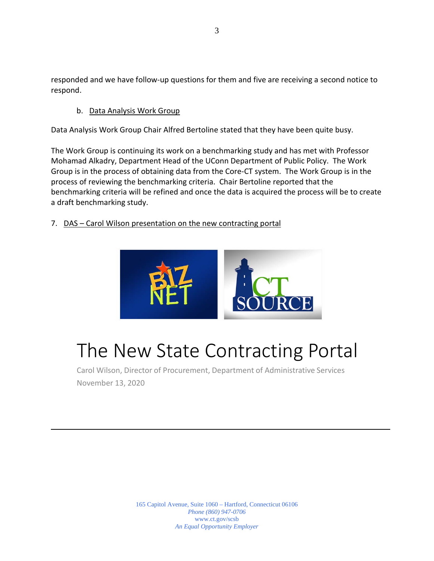responded and we have follow-up questions for them and five are receiving a second notice to respond.

#### b. Data Analysis Work Group

Data Analysis Work Group Chair Alfred Bertoline stated that they have been quite busy.

The Work Group is continuing its work on a benchmarking study and has met with Professor Mohamad Alkadry, Department Head of the UConn Department of Public Policy. The Work Group is in the process of obtaining data from the Core-CT system. The Work Group is in the process of reviewing the benchmarking criteria. Chair Bertoline reported that the benchmarking criteria will be refined and once the data is acquired the process will be to create a draft benchmarking study.

#### 7. DAS – Carol Wilson presentation on the new contracting portal



# The New State Contracting Portal

Carol Wilson, Director of Procurement, Department of Administrative Services November 13, 2020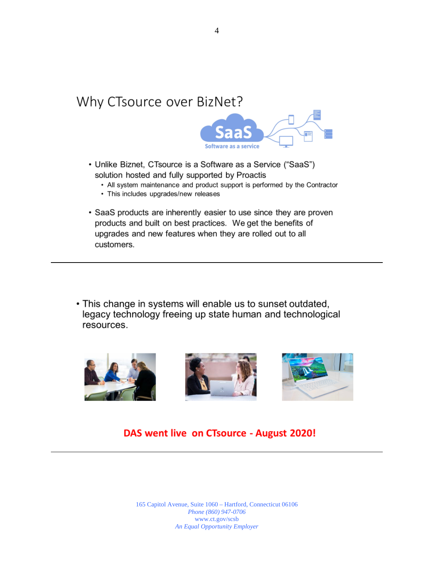## Why CTsource over BizNet?



- Unlike Biznet, CTsource is a Software as a Service ("SaaS") solution hosted and fully supported by Proactis
	- All system maintenance and product support is performed by the Contractor
	- This includes upgrades/new releases
- SaaS products are inherently easier to use since they are proven products and built on best practices. We get the benefits of upgrades and new features when they are rolled out to all customers.
- This change in systems will enable us to sunset outdated, legacy technology freeing up state human and technological resources.







### DAS went live on CTsource - August 2020!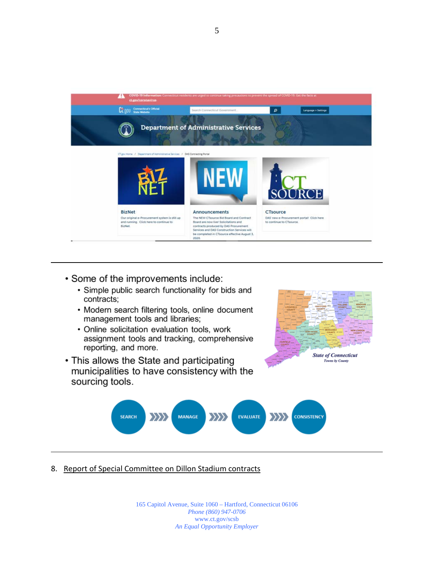

- Some of the improvements include:
	- Simple public search functionality for bids and contracts;
	- Modern search filtering tools, online document management tools and libraries;
	- Online solicitation evaluation tools, work assignment tools and tracking, comprehensive reporting, and more.
- This allows the State and participating municipalities to have consistency with the sourcing tools.





8. Report of Special Committee on Dillon Stadium contracts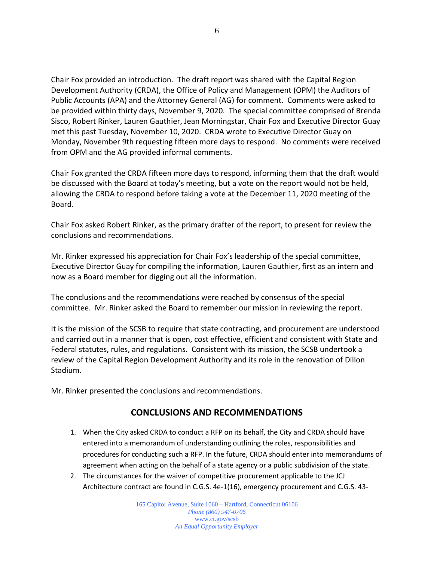Chair Fox provided an introduction. The draft report was shared with the Capital Region Development Authority (CRDA), the Office of Policy and Management (OPM) the Auditors of Public Accounts (APA) and the Attorney General (AG) for comment. Comments were asked to be provided within thirty days, November 9, 2020. The special committee comprised of Brenda Sisco, Robert Rinker, Lauren Gauthier, Jean Morningstar, Chair Fox and Executive Director Guay met this past Tuesday, November 10, 2020. CRDA wrote to Executive Director Guay on Monday, November 9th requesting fifteen more days to respond. No comments were received from OPM and the AG provided informal comments.

Chair Fox granted the CRDA fifteen more days to respond, informing them that the draft would be discussed with the Board at today's meeting, but a vote on the report would not be held, allowing the CRDA to respond before taking a vote at the December 11, 2020 meeting of the Board.

Chair Fox asked Robert Rinker, as the primary drafter of the report, to present for review the conclusions and recommendations.

Mr. Rinker expressed his appreciation for Chair Fox's leadership of the special committee, Executive Director Guay for compiling the information, Lauren Gauthier, first as an intern and now as a Board member for digging out all the information.

The conclusions and the recommendations were reached by consensus of the special committee. Mr. Rinker asked the Board to remember our mission in reviewing the report.

It is the mission of the SCSB to require that state contracting, and procurement are understood and carried out in a manner that is open, cost effective, efficient and consistent with State and Federal statutes, rules, and regulations. Consistent with its mission, the SCSB undertook a review of the Capital Region Development Authority and its role in the renovation of Dillon Stadium.

Mr. Rinker presented the conclusions and recommendations.

#### **CONCLUSIONS AND RECOMMENDATIONS**

- 1. When the City asked CRDA to conduct a RFP on its behalf, the City and CRDA should have entered into a memorandum of understanding outlining the roles, responsibilities and procedures for conducting such a RFP. In the future, CRDA should enter into memorandums of agreement when acting on the behalf of a state agency or a public subdivision of the state.
- 2. The circumstances for the waiver of competitive procurement applicable to the JCJ Architecture contract are found in C.G.S. 4e-1(16), emergency procurement and C.G.S. 43-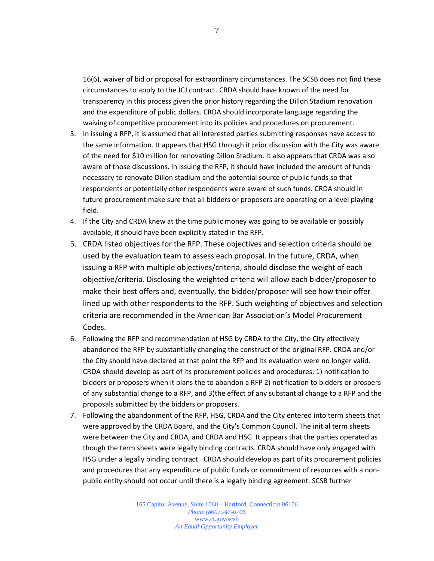16(6), waiver of bid or proposal for extraordinary circumstances. The SCSB does not find these circumstances to apply to the JCJ contract. CRDA should have known of the need for transparency in this process given the prior history regarding the Dillon Stadium renovation and the expenditure of public dollars. CRDA should incorporate language regarding the waiving of competitive procurement into its policies and procedures on procurement.

- 3. In issuing a RFP, it is assumed that all interested parties submitting responses have access to the same information. It appears that HSG through it prior discussion with the City was aware of the need for \$10 million for renovating Dillon Stadium. It also appears that CRDA was also aware of those discussions. In issuing the RFP, it should have included the amount of funds necessary to renovate Dillon stadium and the potential source of public funds so that respondents or potentially other respondents were aware of such funds. CRDA should in future procurement make sure that all bidders or proposers are operating on a level playing field.
- 4. If the City and CRDA knew at the time public money was going to be available or possibly available, it should have been explicitly stated in the RFP.
- 5. CRDA listed objectives for the RFP. These objectives and selection criteria should be used by the evaluation team to assess each proposal. In the future, CRDA, when issuing a RFP with multiple objectives/criteria, should disclose the weight of each objective/criteria. Disclosing the weighted criteria will allow each bidder/proposer to make their best offers and, eventually, the bidder/proposer will see how their offer lined up with other respondents to the RFP. Such weighting of objectives and selection criteria are recommended in the American Bar Association's Model Procurement Codes.
- 6. Following the RFP and recommendation of HSG by CRDA to the City, the City effectively abandoned the RFP by substantially changing the construct of the original RFP. CRDA and/or the City should have declared at that point the RFP and its evaluation were no longer valid. CRDA should develop as part of its procurement policies and procedures; 1) notification to bidders or proposers when it plans the to abandon a RFP 2) notification to bidders or prospers of any substantial change to a RFP, and 3)the effect of any substantial change to a RFP and the proposals submitted by the bidders or proposers.
- 7. Following the abandonment of the RFP, HSG, CRDA and the City entered into term sheets that were approved by the CRDA Board, and the City's Common Council. The initial term sheets were between the City and CRDA, and CRDA and HSG. It appears that the parties operated as though the term sheets were legally binding contracts. CRDA should have only engaged with HSG under a legally binding contract. CRDA should develop as part of its procurement policies and procedures that any expenditure of public funds or commitment of resources with a nonpublic entity should not occur until there is a legally binding agreement. SCSB further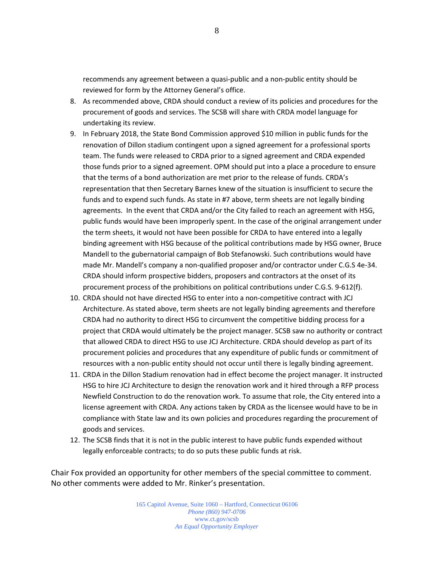recommends any agreement between a quasi-public and a non-public entity should be reviewed for form by the Attorney General's office.

- 8. As recommended above, CRDA should conduct a review of its policies and procedures for the procurement of goods and services. The SCSB will share with CRDA model language for undertaking its review.
- 9. In February 2018, the State Bond Commission approved \$10 million in public funds for the renovation of Dillon stadium contingent upon a signed agreement for a professional sports team. The funds were released to CRDA prior to a signed agreement and CRDA expended those funds prior to a signed agreement. OPM should put into a place a procedure to ensure that the terms of a bond authorization are met prior to the release of funds. CRDA's representation that then Secretary Barnes knew of the situation is insufficient to secure the funds and to expend such funds. As state in #7 above, term sheets are not legally binding agreements. In the event that CRDA and/or the City failed to reach an agreement with HSG, public funds would have been improperly spent. In the case of the original arrangement under the term sheets, it would not have been possible for CRDA to have entered into a legally binding agreement with HSG because of the political contributions made by HSG owner, Bruce Mandell to the gubernatorial campaign of Bob Stefanowski. Such contributions would have made Mr. Mandell's company a non-qualified proposer and/or contractor under C.G.S 4e-34. CRDA should inform prospective bidders, proposers and contractors at the onset of its procurement process of the prohibitions on political contributions under C.G.S. 9-612(f).
- 10. CRDA should not have directed HSG to enter into a non-competitive contract with JCJ Architecture. As stated above, term sheets are not legally binding agreements and therefore CRDA had no authority to direct HSG to circumvent the competitive bidding process for a project that CRDA would ultimately be the project manager. SCSB saw no authority or contract that allowed CRDA to direct HSG to use JCJ Architecture. CRDA should develop as part of its procurement policies and procedures that any expenditure of public funds or commitment of resources with a non-public entity should not occur until there is legally binding agreement.
- 11. CRDA in the Dillon Stadium renovation had in effect become the project manager. It instructed HSG to hire JCJ Architecture to design the renovation work and it hired through a RFP process Newfield Construction to do the renovation work. To assume that role, the City entered into a license agreement with CRDA. Any actions taken by CRDA as the licensee would have to be in compliance with State law and its own policies and procedures regarding the procurement of goods and services.
- 12. The SCSB finds that it is not in the public interest to have public funds expended without legally enforceable contracts; to do so puts these public funds at risk.

Chair Fox provided an opportunity for other members of the special committee to comment. No other comments were added to Mr. Rinker's presentation.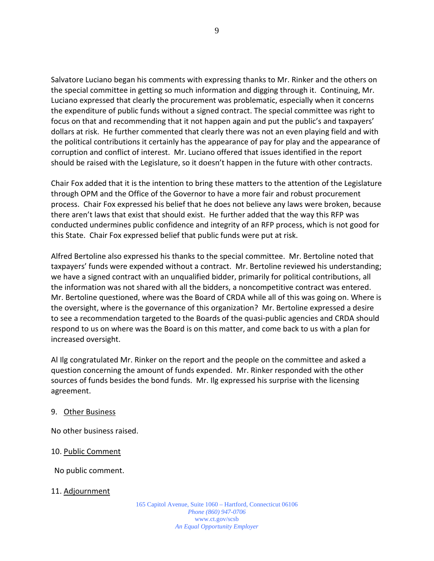Salvatore Luciano began his comments with expressing thanks to Mr. Rinker and the others on the special committee in getting so much information and digging through it. Continuing, Mr. Luciano expressed that clearly the procurement was problematic, especially when it concerns the expenditure of public funds without a signed contract. The special committee was right to focus on that and recommending that it not happen again and put the public's and taxpayers' dollars at risk. He further commented that clearly there was not an even playing field and with the political contributions it certainly has the appearance of pay for play and the appearance of corruption and conflict of interest. Mr. Luciano offered that issues identified in the report should be raised with the Legislature, so it doesn't happen in the future with other contracts.

Chair Fox added that it is the intention to bring these matters to the attention of the Legislature through OPM and the Office of the Governor to have a more fair and robust procurement process. Chair Fox expressed his belief that he does not believe any laws were broken, because there aren't laws that exist that should exist. He further added that the way this RFP was conducted undermines public confidence and integrity of an RFP process, which is not good for this State. Chair Fox expressed belief that public funds were put at risk.

Alfred Bertoline also expressed his thanks to the special committee. Mr. Bertoline noted that taxpayers' funds were expended without a contract. Mr. Bertoline reviewed his understanding; we have a signed contract with an unqualified bidder, primarily for political contributions, all the information was not shared with all the bidders, a noncompetitive contract was entered. Mr. Bertoline questioned, where was the Board of CRDA while all of this was going on. Where is the oversight, where is the governance of this organization? Mr. Bertoline expressed a desire to see a recommendation targeted to the Boards of the quasi-public agencies and CRDA should respond to us on where was the Board is on this matter, and come back to us with a plan for increased oversight.

Al Ilg congratulated Mr. Rinker on the report and the people on the committee and asked a question concerning the amount of funds expended. Mr. Rinker responded with the other sources of funds besides the bond funds. Mr. Ilg expressed his surprise with the licensing agreement.

#### 9. Other Business

No other business raised.

#### 10. Public Comment

No public comment.

#### 11. Adjournment